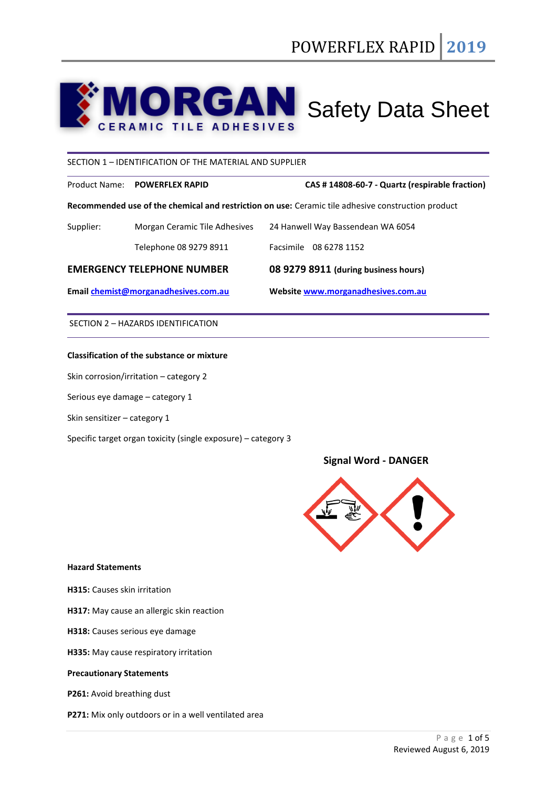# $\mathbf{O}$ **MORGAN** Safety Data Sheet

## SECTION 1 – IDENTIFICATION OF THE MATERIAL AND SUPPLIER

Product Name: **POWERFLEX RAPID CAS # 14808-60-7 - Quartz (respirable fraction)**

**Recommended use of the chemical and restriction on use:** Ceramic tile adhesive construction product

| Email chemist@morganadhesives.com.au |                               | Website www.morganadhesives.com.au   |
|--------------------------------------|-------------------------------|--------------------------------------|
| <b>EMERGENCY TELEPHONE NUMBER</b>    |                               | 08 9279 8911 (during business hours) |
|                                      | Telephone 08 9279 8911        | Facsimile 08 6278 1152               |
| Supplier:                            | Morgan Ceramic Tile Adhesives | 24 Hanwell Way Bassendean WA 6054    |

SECTION 2 – HAZARDS IDENTIFICATION

## **Classification of the substance or mixture**

Skin corrosion/irritation – category 2

Serious eye damage – category 1

Skin sensitizer – category 1

Specific target organ toxicity (single exposure) – category 3

# **Signal Word - DANGER**



## **Hazard Statements**

**H315:** Causes skin irritation

**H317:** May cause an allergic skin reaction

- **H318:** Causes serious eye damage
- **H335:** May cause respiratory irritation

## **Precautionary Statements**

**P261:** Avoid breathing dust

**P271:** Mix only outdoors or in a well ventilated area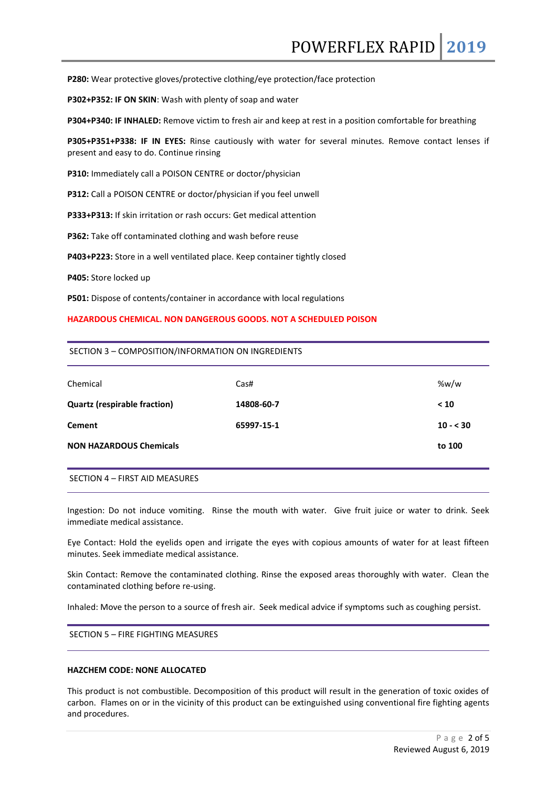POWERFLEX RAPID **2019**

**P280:** Wear protective gloves/protective clothing/eye protection/face protection

**P302+P352: IF ON SKIN**: Wash with plenty of soap and water

**P304+P340: IF INHALED:** Remove victim to fresh air and keep at rest in a position comfortable for breathing

**P305+P351+P338: IF IN EYES:** Rinse cautiously with water for several minutes. Remove contact lenses if present and easy to do. Continue rinsing

**P310:** Immediately call a POISON CENTRE or doctor/physician

**P312:** Call a POISON CENTRE or doctor/physician if you feel unwell

**P333+P313:** If skin irritation or rash occurs: Get medical attention

**P362:** Take off contaminated clothing and wash before reuse

**P403+P223:** Store in a well ventilated place. Keep container tightly closed

**P405:** Store locked up

**P501:** Dispose of contents/container in accordance with local regulations

#### **HAZARDOUS CHEMICAL. NON DANGEROUS GOODS. NOT A SCHEDULED POISON**

#### SECTION 3 – COMPOSITION/INFORMATION ON INGREDIENTS

| Chemical                            | Cas#       | %w/w      |
|-------------------------------------|------------|-----------|
| <b>Quartz (respirable fraction)</b> | 14808-60-7 | < 10      |
| <b>Cement</b>                       | 65997-15-1 | $10 - 30$ |
| <b>NON HAZARDOUS Chemicals</b>      |            | to 100    |
|                                     |            |           |

SECTION 4 – FIRST AID MEASURES

Ingestion: Do not induce vomiting. Rinse the mouth with water. Give fruit juice or water to drink. Seek immediate medical assistance.

Eye Contact: Hold the eyelids open and irrigate the eyes with copious amounts of water for at least fifteen minutes. Seek immediate medical assistance.

Skin Contact: Remove the contaminated clothing. Rinse the exposed areas thoroughly with water. Clean the contaminated clothing before re-using.

Inhaled: Move the person to a source of fresh air. Seek medical advice if symptoms such as coughing persist.

SECTION 5 – FIRE FIGHTING MEASURES

## **HAZCHEM CODE: NONE ALLOCATED**

This product is not combustible. Decomposition of this product will result in the generation of toxic oxides of carbon. Flames on or in the vicinity of this product can be extinguished using conventional fire fighting agents and procedures.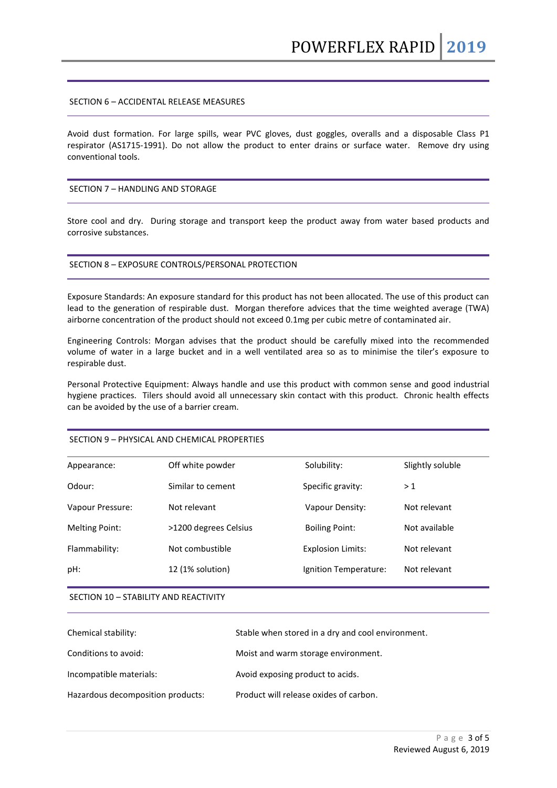## SECTION 6 – ACCIDENTAL RELEASE MEASURES

Avoid dust formation. For large spills, wear PVC gloves, dust goggles, overalls and a disposable Class P1 respirator (AS1715-1991). Do not allow the product to enter drains or surface water. Remove dry using conventional tools.

## SECTION 7 – HANDLING AND STORAGE

Store cool and dry. During storage and transport keep the product away from water based products and corrosive substances.

#### SECTION 8 – EXPOSURE CONTROLS/PERSONAL PROTECTION

Exposure Standards: An exposure standard for this product has not been allocated. The use of this product can lead to the generation of respirable dust. Morgan therefore advices that the time weighted average (TWA) airborne concentration of the product should not exceed 0.1mg per cubic metre of contaminated air.

Engineering Controls: Morgan advises that the product should be carefully mixed into the recommended volume of water in a large bucket and in a well ventilated area so as to minimise the tiler's exposure to respirable dust.

Personal Protective Equipment: Always handle and use this product with common sense and good industrial hygiene practices. Tilers should avoid all unnecessary skin contact with this product. Chronic health effects can be avoided by the use of a barrier cream.

## SECTION 9 – PHYSICAL AND CHEMICAL PROPERTIES

| Appearance:           | Off white powder      | Solubility:              | Slightly soluble |
|-----------------------|-----------------------|--------------------------|------------------|
| Odour:                | Similar to cement     | Specific gravity:        | >1               |
| Vapour Pressure:      | Not relevant          | Vapour Density:          | Not relevant     |
| <b>Melting Point:</b> | >1200 degrees Celsius | <b>Boiling Point:</b>    | Not available    |
| Flammability:         | Not combustible       | <b>Explosion Limits:</b> | Not relevant     |
| pH:                   | 12 (1% solution)      | Ignition Temperature:    | Not relevant     |
|                       |                       |                          |                  |

#### SECTION 10 – STABILITY AND REACTIVITY

| Chemical stability:               | Stable when stored in a dry and cool environment. |
|-----------------------------------|---------------------------------------------------|
| Conditions to avoid:              | Moist and warm storage environment.               |
| Incompatible materials:           | Avoid exposing product to acids.                  |
| Hazardous decomposition products: | Product will release oxides of carbon.            |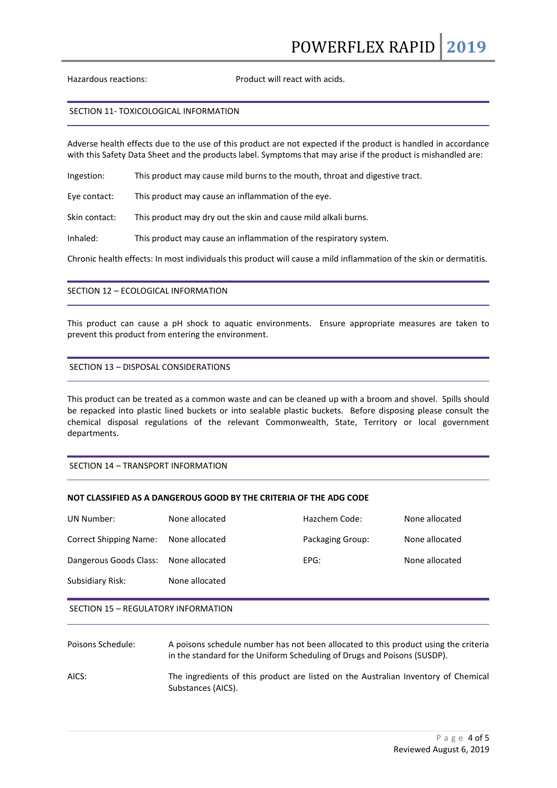Hazardous reactions: Product will react with acids.

#### SECTION 11- TOXICOLOGICAL INFORMATION

Adverse health effects due to the use of this product are not expected if the product is handled in accordance with this Safety Data Sheet and the products label. Symptoms that may arise if the product is mishandled are:

Ingestion: This product may cause mild burns to the mouth, throat and digestive tract.

Eye contact: This product may cause an inflammation of the eye.

Skin contact: This product may dry out the skin and cause mild alkali burns.

Inhaled: This product may cause an inflammation of the respiratory system.

Chronic health effects: In most individuals this product will cause a mild inflammation of the skin or dermatitis.

## SECTION 12 – ECOLOGICAL INFORMATION

This product can cause a pH shock to aquatic environments. Ensure appropriate measures are taken to prevent this product from entering the environment.

## SECTION 13 – DISPOSAL CONSIDERATIONS

This product can be treated as a common waste and can be cleaned up with a broom and shovel. Spills should be repacked into plastic lined buckets or into sealable plastic buckets. Before disposing please consult the chemical disposal regulations of the relevant Commonwealth, State, Territory or local government departments.

## SECTION 14 – TRANSPORT INFORMATION

## **NOT CLASSIFIED AS A DANGEROUS GOOD BY THE CRITERIA OF THE ADG CODE**

| UN Number:             | None allocated | Hazchem Code:    | None allocated |
|------------------------|----------------|------------------|----------------|
| Correct Shipping Name: | None allocated | Packaging Group: | None allocated |
| Dangerous Goods Class: | None allocated | EPG:             | None allocated |
| Subsidiary Risk:       | None allocated |                  |                |

#### SECTION 15 – REGULATORY INFORMATION

| Poisons Schedule: | A poisons schedule number has not been allocated to this product using the criteria<br>in the standard for the Uniform Scheduling of Drugs and Poisons (SUSDP). |
|-------------------|-----------------------------------------------------------------------------------------------------------------------------------------------------------------|
| AICS:             | The ingredients of this product are listed on the Australian Inventory of Chemical<br>Substances (AICS).                                                        |